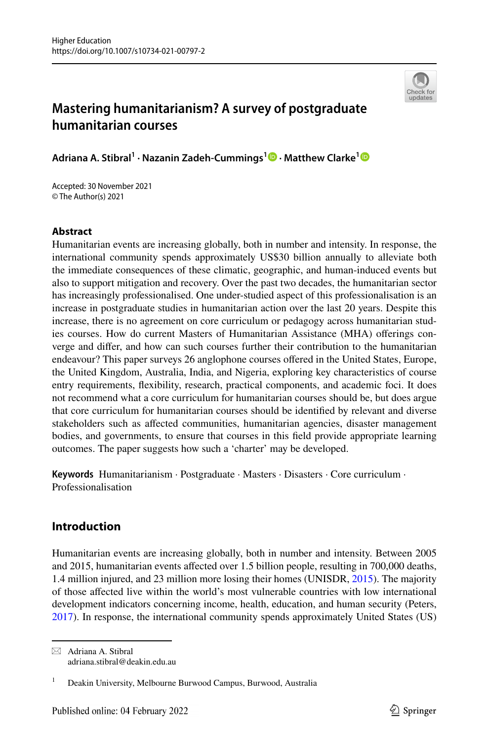

# **Mastering humanitarianism? A survey of postgraduate humanitarian courses**

**Adriana A. Stibral1 · Nazanin Zadeh‑Cummings1 · Matthew Clarke[1](https://orcid.org/0000-0002-8750-4521)**

Accepted: 30 November 2021 © The Author(s) 2021

# **Abstract**

Humanitarian events are increasing globally, both in number and intensity. In response, the international community spends approximately US\$30 billion annually to alleviate both the immediate consequences of these climatic, geographic, and human-induced events but also to support mitigation and recovery. Over the past two decades, the humanitarian sector has increasingly professionalised. One under-studied aspect of this professionalisation is an increase in postgraduate studies in humanitarian action over the last 20 years. Despite this increase, there is no agreement on core curriculum or pedagogy across humanitarian studies courses. How do current Masters of Humanitarian Assistance (MHA) oferings converge and difer, and how can such courses further their contribution to the humanitarian endeavour? This paper surveys 26 anglophone courses ofered in the United States, Europe, the United Kingdom, Australia, India, and Nigeria, exploring key characteristics of course entry requirements, fexibility, research, practical components, and academic foci. It does not recommend what a core curriculum for humanitarian courses should be, but does argue that core curriculum for humanitarian courses should be identifed by relevant and diverse stakeholders such as afected communities, humanitarian agencies, disaster management bodies, and governments, to ensure that courses in this feld provide appropriate learning outcomes. The paper suggests how such a 'charter' may be developed.

**Keywords** Humanitarianism · Postgraduate · Masters · Disasters · Core curriculum · Professionalisation

# **Introduction**

Humanitarian events are increasing globally, both in number and intensity. Between 2005 and 2015, humanitarian events afected over 1.5 billion people, resulting in 700,000 deaths, 1.4 million injured, and 23 million more losing their homes (UNISDR, [2015\)](#page-18-0). The majority of those afected live within the world's most vulnerable countries with low international development indicators concerning income, health, education, and human security (Peters, [2017\)](#page-18-1). In response, the international community spends approximately United States (US)

 $\boxtimes$  Adriana A. Stibral adriana.stibral@deakin.edu.au

<sup>&</sup>lt;sup>1</sup> Deakin University, Melbourne Burwood Campus, Burwood, Australia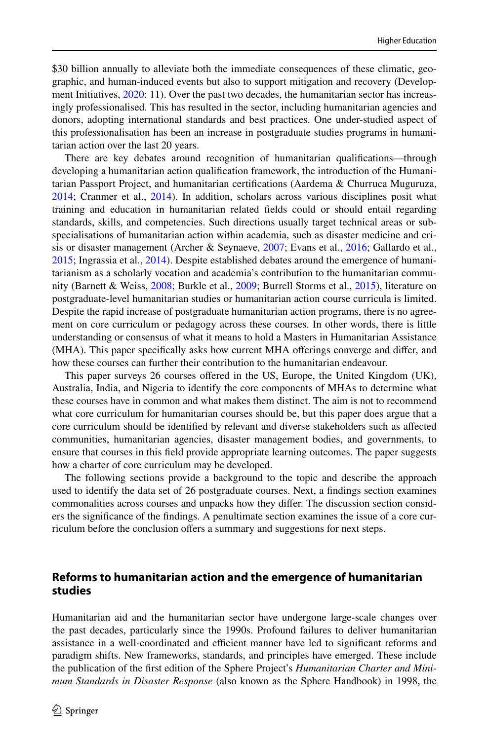\$30 billion annually to alleviate both the immediate consequences of these climatic, geographic, and human-induced events but also to support mitigation and recovery (Develop-ment Initiatives, [2020:](#page-17-0) 11). Over the past two decades, the humanitarian sector has increasingly professionalised. This has resulted in the sector, including humanitarian agencies and donors, adopting international standards and best practices. One under-studied aspect of this professionalisation has been an increase in postgraduate studies programs in humanitarian action over the last 20 years.

There are key debates around recognition of humanitarian qualifcations—through developing a humanitarian action qualifcation framework, the introduction of the Humanitarian Passport Project, and humanitarian certifcations (Aardema & Churruca Muguruza, [2014;](#page-17-1) Cranmer et al., [2014](#page-17-2)). In addition, scholars across various disciplines posit what training and education in humanitarian related felds could or should entail regarding standards, skills, and competencies. Such directions usually target technical areas or subspecialisations of humanitarian action within academia, such as disaster medicine and crisis or disaster management (Archer & Seynaeve, [2007;](#page-17-3) Evans et al., [2016;](#page-18-2) Gallardo et al., [2015;](#page-18-3) Ingrassia et al., [2014\)](#page-18-4). Despite established debates around the emergence of humanitarianism as a scholarly vocation and academia's contribution to the humanitarian community (Barnett & Weiss, [2008;](#page-17-4) Burkle et al., [2009;](#page-17-5) Burrell Storms et al., [2015](#page-17-6)), literature on postgraduate-level humanitarian studies or humanitarian action course curricula is limited. Despite the rapid increase of postgraduate humanitarian action programs, there is no agreement on core curriculum or pedagogy across these courses. In other words, there is little understanding or consensus of what it means to hold a Masters in Humanitarian Assistance (MHA). This paper specifcally asks how current MHA oferings converge and difer, and how these courses can further their contribution to the humanitarian endeavour.

This paper surveys 26 courses ofered in the US, Europe, the United Kingdom (UK), Australia, India, and Nigeria to identify the core components of MHAs to determine what these courses have in common and what makes them distinct. The aim is not to recommend what core curriculum for humanitarian courses should be, but this paper does argue that a core curriculum should be identifed by relevant and diverse stakeholders such as afected communities, humanitarian agencies, disaster management bodies, and governments, to ensure that courses in this feld provide appropriate learning outcomes. The paper suggests how a charter of core curriculum may be developed.

The following sections provide a background to the topic and describe the approach used to identify the data set of 26 postgraduate courses. Next, a fndings section examines commonalities across courses and unpacks how they difer. The discussion section considers the signifcance of the fndings. A penultimate section examines the issue of a core curriculum before the conclusion offers a summary and suggestions for next steps.

## **Reforms to humanitarian action and the emergence of humanitarian studies**

Humanitarian aid and the humanitarian sector have undergone large-scale changes over the past decades, particularly since the 1990s. Profound failures to deliver humanitarian assistance in a well-coordinated and efficient manner have led to significant reforms and paradigm shifts. New frameworks, standards, and principles have emerged. These include the publication of the frst edition of the Sphere Project's *Humanitarian Charter and Minimum Standards in Disaster Response* (also known as the Sphere Handbook) in 1998, the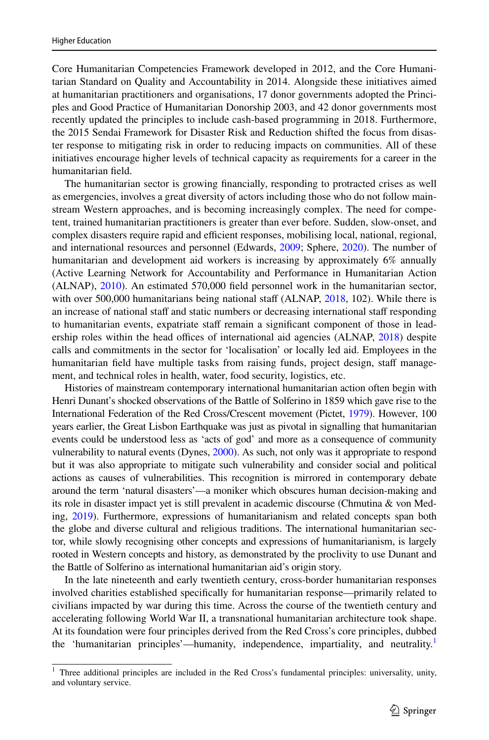Core Humanitarian Competencies Framework developed in 2012, and the Core Humanitarian Standard on Quality and Accountability in 2014. Alongside these initiatives aimed at humanitarian practitioners and organisations, 17 donor governments adopted the Principles and Good Practice of Humanitarian Donorship 2003, and 42 donor governments most recently updated the principles to include cash-based programming in 2018. Furthermore, the 2015 Sendai Framework for Disaster Risk and Reduction shifted the focus from disaster response to mitigating risk in order to reducing impacts on communities. All of these initiatives encourage higher levels of technical capacity as requirements for a career in the humanitarian feld.

The humanitarian sector is growing fnancially, responding to protracted crises as well as emergencies, involves a great diversity of actors including those who do not follow mainstream Western approaches, and is becoming increasingly complex. The need for competent, trained humanitarian practitioners is greater than ever before. Sudden, slow-onset, and complex disasters require rapid and efficient responses, mobilising local, national, regional, and international resources and personnel (Edwards, [2009](#page-17-7); Sphere, [2020\)](#page-18-5). The number of humanitarian and development aid workers is increasing by approximately 6% annually (Active Learning Network for Accountability and Performance in Humanitarian Action (ALNAP), [2010](#page-17-8)). An estimated 570,000 feld personnel work in the humanitarian sector, with over 500,000 humanitarians being national staff (ALNAP,  $2018$ , 102). While there is an increase of national staff and static numbers or decreasing international staff responding to humanitarian events, expatriate staff remain a significant component of those in lead-ership roles within the head offices of international aid agencies (ALNAP, [2018](#page-17-9)) despite calls and commitments in the sector for 'localisation' or locally led aid. Employees in the humanitarian field have multiple tasks from raising funds, project design, staff management, and technical roles in health, water, food security, logistics, etc.

Histories of mainstream contemporary international humanitarian action often begin with Henri Dunant's shocked observations of the Battle of Solferino in 1859 which gave rise to the International Federation of the Red Cross/Crescent movement (Pictet, [1979\)](#page-18-6). However, 100 years earlier, the Great Lisbon Earthquake was just as pivotal in signalling that humanitarian events could be understood less as 'acts of god' and more as a consequence of community vulnerability to natural events (Dynes, [2000\)](#page-17-10). As such, not only was it appropriate to respond but it was also appropriate to mitigate such vulnerability and consider social and political actions as causes of vulnerabilities. This recognition is mirrored in contemporary debate around the term 'natural disasters'—a moniker which obscures human decision-making and its role in disaster impact yet is still prevalent in academic discourse (Chmutina & von Meding, [2019\)](#page-17-11). Furthermore, expressions of humanitarianism and related concepts span both the globe and diverse cultural and religious traditions. The international humanitarian sector, while slowly recognising other concepts and expressions of humanitarianism, is largely rooted in Western concepts and history, as demonstrated by the proclivity to use Dunant and the Battle of Solferino as international humanitarian aid's origin story.

In the late nineteenth and early twentieth century, cross-border humanitarian responses involved charities established specifcally for humanitarian response—primarily related to civilians impacted by war during this time. Across the course of the twentieth century and accelerating following World War II, a transnational humanitarian architecture took shape. At its foundation were four principles derived from the Red Cross's core principles, dubbed the 'humanitarian principles'—humanity, independence, impartiality, and neutrality.<sup>1</sup>

<span id="page-2-0"></span> $1$  Three additional principles are included in the Red Cross's fundamental principles: universality, unity, and voluntary service.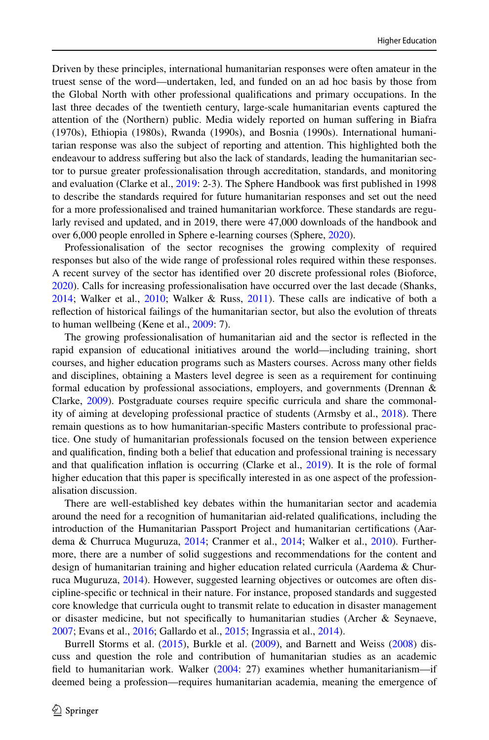Driven by these principles, international humanitarian responses were often amateur in the truest sense of the word—undertaken, led, and funded on an ad hoc basis by those from the Global North with other professional qualifcations and primary occupations. In the last three decades of the twentieth century, large-scale humanitarian events captured the attention of the (Northern) public. Media widely reported on human sufering in Biafra (1970s), Ethiopia (1980s), Rwanda (1990s), and Bosnia (1990s). International humanitarian response was also the subject of reporting and attention. This highlighted both the endeavour to address sufering but also the lack of standards, leading the humanitarian sector to pursue greater professionalisation through accreditation, standards, and monitoring and evaluation (Clarke et al., [2019](#page-17-12): 2-3). The Sphere Handbook was frst published in 1998 to describe the standards required for future humanitarian responses and set out the need for a more professionalised and trained humanitarian workforce. These standards are regularly revised and updated, and in 2019, there were 47,000 downloads of the handbook and over 6,000 people enrolled in Sphere e-learning courses (Sphere, [2020](#page-18-5)).

Professionalisation of the sector recognises the growing complexity of required responses but also of the wide range of professional roles required within these responses. A recent survey of the sector has identifed over 20 discrete professional roles (Bioforce, [2020\)](#page-17-13). Calls for increasing professionalisation have occurred over the last decade (Shanks, [2014;](#page-18-7) Walker et al., [2010;](#page-19-0) Walker & Russ, [2011\)](#page-18-8). These calls are indicative of both a refection of historical failings of the humanitarian sector, but also the evolution of threats to human wellbeing (Kene et al., [2009:](#page-18-9) 7).

The growing professionalisation of humanitarian aid and the sector is refected in the rapid expansion of educational initiatives around the world—including training, short courses, and higher education programs such as Masters courses. Across many other felds and disciplines, obtaining a Masters level degree is seen as a requirement for continuing formal education by professional associations, employers, and governments (Drennan & Clarke, [2009](#page-17-14)). Postgraduate courses require specifc curricula and share the commonality of aiming at developing professional practice of students (Armsby et al., [2018\)](#page-17-15). There remain questions as to how humanitarian-specifc Masters contribute to professional practice. One study of humanitarian professionals focused on the tension between experience and qualifcation, fnding both a belief that education and professional training is necessary and that qualifcation infation is occurring (Clarke et al., [2019](#page-17-12)). It is the role of formal higher education that this paper is specifcally interested in as one aspect of the professionalisation discussion.

There are well-established key debates within the humanitarian sector and academia around the need for a recognition of humanitarian aid-related qualifcations, including the introduction of the Humanitarian Passport Project and humanitarian certifcations (Aardema & Churruca Muguruza, [2014;](#page-17-1) Cranmer et al., [2014;](#page-17-2) Walker et al., [2010\)](#page-19-0). Furthermore, there are a number of solid suggestions and recommendations for the content and design of humanitarian training and higher education related curricula (Aardema & Churruca Muguruza, [2014](#page-17-1)). However, suggested learning objectives or outcomes are often discipline-specifc or technical in their nature. For instance, proposed standards and suggested core knowledge that curricula ought to transmit relate to education in disaster management or disaster medicine, but not specifcally to humanitarian studies (Archer & Seynaeve, [2007;](#page-17-3) Evans et al., [2016](#page-18-2); Gallardo et al., [2015](#page-18-3); Ingrassia et al., [2014\)](#page-18-4).

Burrell Storms et al. ([2015\)](#page-17-6), Burkle et al. [\(2009](#page-17-5)), and Barnett and Weiss ([2008\)](#page-17-4) discuss and question the role and contribution of humanitarian studies as an academic feld to humanitarian work. Walker [\(2004](#page-19-1): 27) examines whether humanitarianism—if deemed being a profession—requires humanitarian academia, meaning the emergence of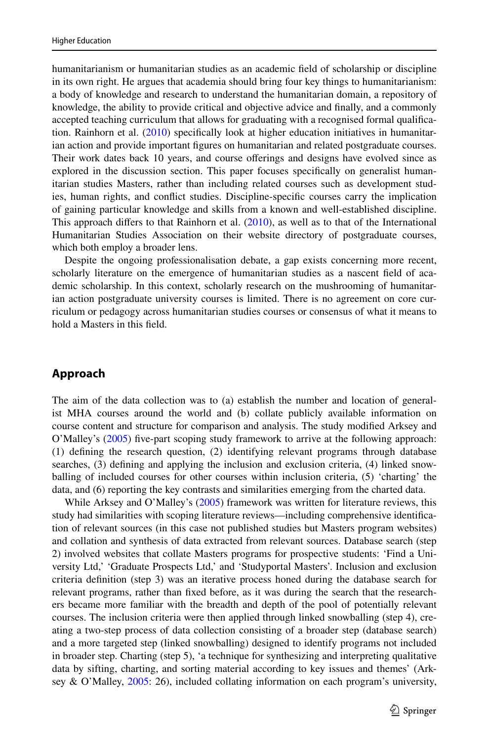humanitarianism or humanitarian studies as an academic feld of scholarship or discipline in its own right. He argues that academia should bring four key things to humanitarianism: a body of knowledge and research to understand the humanitarian domain, a repository of knowledge, the ability to provide critical and objective advice and fnally, and a commonly accepted teaching curriculum that allows for graduating with a recognised formal qualifcation. Rainhorn et al. [\(2010](#page-18-10)) specifcally look at higher education initiatives in humanitarian action and provide important fgures on humanitarian and related postgraduate courses. Their work dates back 10 years, and course oferings and designs have evolved since as explored in the discussion section. This paper focuses specifcally on generalist humanitarian studies Masters, rather than including related courses such as development studies, human rights, and confict studies. Discipline-specifc courses carry the implication of gaining particular knowledge and skills from a known and well-established discipline. This approach differs to that Rainhorn et al.  $(2010)$  $(2010)$ , as well as to that of the International Humanitarian Studies Association on their website directory of postgraduate courses, which both employ a broader lens.

Despite the ongoing professionalisation debate, a gap exists concerning more recent, scholarly literature on the emergence of humanitarian studies as a nascent feld of academic scholarship. In this context, scholarly research on the mushrooming of humanitarian action postgraduate university courses is limited. There is no agreement on core curriculum or pedagogy across humanitarian studies courses or consensus of what it means to hold a Masters in this feld.

## **Approach**

The aim of the data collection was to (a) establish the number and location of generalist MHA courses around the world and (b) collate publicly available information on course content and structure for comparison and analysis. The study modifed Arksey and O'Malley's ([2005\)](#page-17-16) fve-part scoping study framework to arrive at the following approach: (1) defning the research question, (2) identifying relevant programs through database searches, (3) defning and applying the inclusion and exclusion criteria, (4) linked snowballing of included courses for other courses within inclusion criteria, (5) 'charting' the data, and (6) reporting the key contrasts and similarities emerging from the charted data.

While Arksey and O'Malley's [\(2005](#page-17-16)) framework was written for literature reviews, this study had similarities with scoping literature reviews—including comprehensive identifcation of relevant sources (in this case not published studies but Masters program websites) and collation and synthesis of data extracted from relevant sources. Database search (step 2) involved websites that collate Masters programs for prospective students: 'Find a University Ltd,' 'Graduate Prospects Ltd,' and 'Studyportal Masters'. Inclusion and exclusion criteria defnition (step 3) was an iterative process honed during the database search for relevant programs, rather than fxed before, as it was during the search that the researchers became more familiar with the breadth and depth of the pool of potentially relevant courses. The inclusion criteria were then applied through linked snowballing (step 4), creating a two-step process of data collection consisting of a broader step (database search) and a more targeted step (linked snowballing) designed to identify programs not included in broader step. Charting (step 5), 'a technique for synthesizing and interpreting qualitative data by sifting, charting, and sorting material according to key issues and themes' (Arksey & O'Malley, [2005:](#page-17-16) 26), included collating information on each program's university,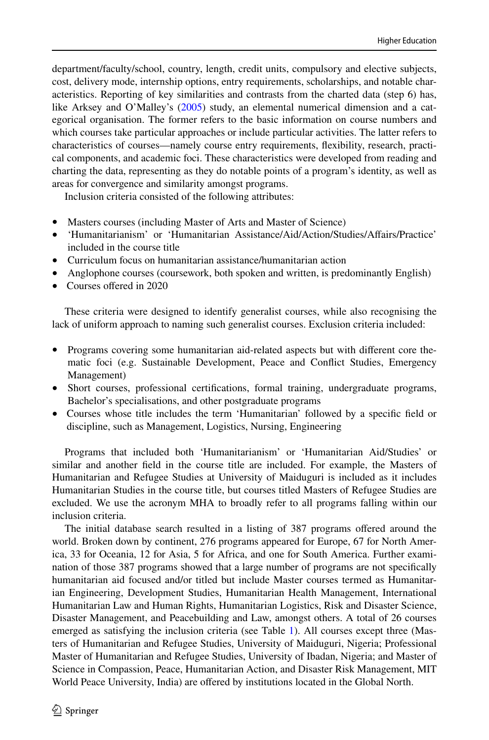department/faculty/school, country, length, credit units, compulsory and elective subjects, cost, delivery mode, internship options, entry requirements, scholarships, and notable characteristics. Reporting of key similarities and contrasts from the charted data (step 6) has, like Arksey and O'Malley's ([2005\)](#page-17-16) study, an elemental numerical dimension and a categorical organisation. The former refers to the basic information on course numbers and which courses take particular approaches or include particular activities. The latter refers to characteristics of courses—namely course entry requirements, fexibility, research, practical components, and academic foci. These characteristics were developed from reading and charting the data, representing as they do notable points of a program's identity, as well as areas for convergence and similarity amongst programs.

Inclusion criteria consisted of the following attributes:

- Masters courses (including Master of Arts and Master of Science)
- 'Humanitarianism' or 'Humanitarian Assistance/Aid/Action/Studies/Afairs/Practice' included in the course title
- Curriculum focus on humanitarian assistance/humanitarian action
- Anglophone courses (coursework, both spoken and written, is predominantly English)
- Courses offered in 2020

These criteria were designed to identify generalist courses, while also recognising the lack of uniform approach to naming such generalist courses. Exclusion criteria included:

- Programs covering some humanitarian aid-related aspects but with different core thematic foci (e.g. Sustainable Development, Peace and Confict Studies, Emergency Management)
- Short courses, professional certifcations, formal training, undergraduate programs, Bachelor's specialisations, and other postgraduate programs
- Courses whose title includes the term 'Humanitarian' followed by a specifc feld or discipline, such as Management, Logistics, Nursing, Engineering

Programs that included both 'Humanitarianism' or 'Humanitarian Aid/Studies' or similar and another feld in the course title are included. For example, the Masters of Humanitarian and Refugee Studies at University of Maiduguri is included as it includes Humanitarian Studies in the course title, but courses titled Masters of Refugee Studies are excluded. We use the acronym MHA to broadly refer to all programs falling within our inclusion criteria.

The initial database search resulted in a listing of 387 programs ofered around the world. Broken down by continent, 276 programs appeared for Europe, 67 for North America, 33 for Oceania, 12 for Asia, 5 for Africa, and one for South America. Further examination of those 387 programs showed that a large number of programs are not specifcally humanitarian aid focused and/or titled but include Master courses termed as Humanitarian Engineering, Development Studies, Humanitarian Health Management, International Humanitarian Law and Human Rights, Humanitarian Logistics, Risk and Disaster Science, Disaster Management, and Peacebuilding and Law, amongst others. A total of 26 courses emerged as satisfying the inclusion criteria (see Table [1](#page-6-0)). All courses except three (Masters of Humanitarian and Refugee Studies, University of Maiduguri, Nigeria; Professional Master of Humanitarian and Refugee Studies, University of Ibadan, Nigeria; and Master of Science in Compassion, Peace, Humanitarian Action, and Disaster Risk Management, MIT World Peace University, India) are ofered by institutions located in the Global North.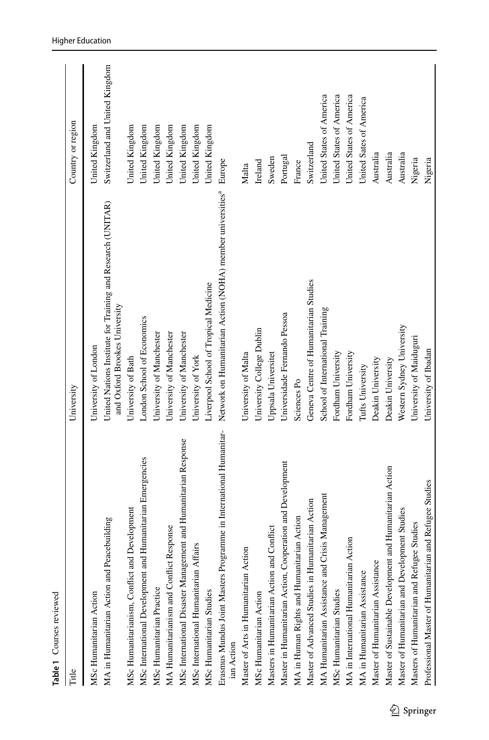<span id="page-6-0"></span>

| Table 1 Courses reviewed                                                         |                                                                                              |                                |
|----------------------------------------------------------------------------------|----------------------------------------------------------------------------------------------|--------------------------------|
| Title                                                                            | University                                                                                   | Country or region              |
| MSc Humanitarian Action                                                          | University of London                                                                         | United Kingdom                 |
| MA in Humanitarian Action and Peacebuilding                                      | United Nations Institute for Training and Research (UNITAR)<br>and Oxford Brookes University | Switzerland and United Kingdom |
| Development<br>MSc Humanitarianism, Conflict and                                 | University of Bath                                                                           | United Kingdom                 |
| Humanitarian Emergencies<br>MSc International Development and                    | London School of Economics                                                                   | United Kingdom                 |
| MSc Humanitarian Practice                                                        | University of Manchester                                                                     | United Kingdom                 |
| MA Humanitarianism and Conflict Response                                         | University of Manchester                                                                     | United Kingdom                 |
| MSc International Disaster Management and Humanitarian Response                  | University of Manchester                                                                     | United Kingdom                 |
| MSc International Humanitarian Affairs                                           | University of York                                                                           | United Kingdom                 |
| MSc Humanitarian Studies                                                         | Liverpool School of Tropical Medicine                                                        | United Kingdom                 |
| Erasmus Mundus Joint Masters Programme in International Humanitar-<br>ian Action | Network on Humanitarian Action (NOHA) member universities <sup>a</sup>                       | Europe                         |
| Master of Arts in Humanitarian Action                                            | University of Malta                                                                          | Malta                          |
| MSc Humanitarian Action                                                          | University College Dublin                                                                    | Ireland                        |
| Masters in Humanitarian Action and Conflict                                      | Uppsala Universitet                                                                          | Sweden                         |
| Master in Humanitarian Action, Cooperation and Development                       | Universidade Fernando Pessoa                                                                 | Portugal                       |
| MA in Human Rights and Humanitarian Action                                       | Sciences Po                                                                                  | France                         |
| Master of Advanced Studies in Humanitarian Action                                | Geneva Centre of Humanitarian Studies                                                        | Switzerland                    |
| MA Humanitarian Assistance and Crisis Management                                 | School of International Training                                                             | United States of America       |
| MSc Humanitarian Studies                                                         | Fordham University                                                                           | United States of America       |
| MA in International Humanitarian Action                                          | Fordham University                                                                           | United States of America       |
| MA in Humanitarian Assistance                                                    | Tufts University                                                                             | United Sates of America        |
| Master of Humanitarian Assistance                                                | Deakin University                                                                            | Australia                      |
| Master of Sustainable Development and Humanitarian Action                        | Deakin University                                                                            | Australia                      |
| Master of Humanitarian and Development Studies                                   | Western Sydney University                                                                    | Australia                      |
| Masters of Humanitarian and Refugee Studies                                      | University of Maiduguri                                                                      | Nigeria                        |
| and Refugee Studies<br>Professional Master of Humanitarian                       | University of Ibadan                                                                         | Nigeria                        |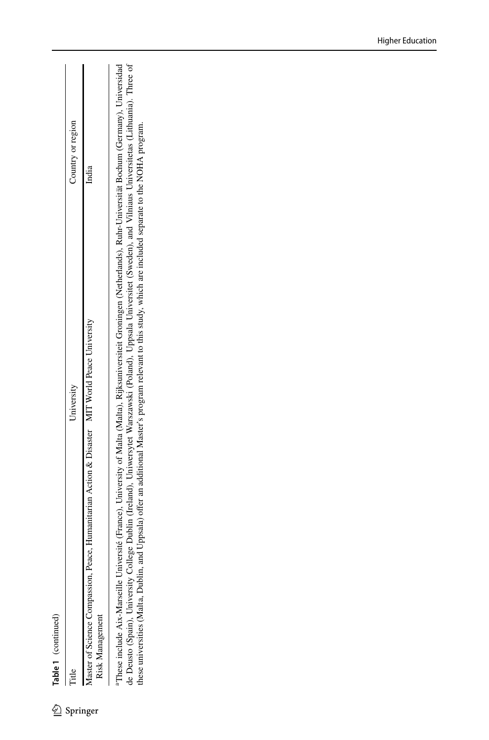| continued |
|-----------|
|           |
|           |
|           |
|           |
| lable     |

|    | Country or region | ndia                                                             |
|----|-------------------|------------------------------------------------------------------|
|    |                   |                                                                  |
|    | University        |                                                                  |
|    |                   | Peace, Humanitarian Action & Disaster MIT World Peace University |
|    |                   |                                                                  |
| 7) |                   | Springer                                                         |

 $\overline{1}$ 

de Deusto (Spain), University College Dublin (Ireland), Uniwersytet Warszawski (Poland), Uppsala Universitet (Sweden), and Vilniaus Universitetas (Lithuania). Three of<br>these universities (Malta, Dublin, and Uppsala) offer <sup>1</sup>These include Aix-Marseille Université (France), University of Malta (Malta), Rijksuniversiteit Groningen (Netherlands), Ruhr-Universität Bochum (Germany), Universidad aThese include Aix-Marseille Université (France), University of Malta (Malta), Rijksuniversiteit Groningen (Netherlands), Ruhr-Universität Bochum (Germany), Universidad de Deusto (Spain), University College Dublin (Ireland), Uniwersytet Warszawski (Poland), Uppsala Universitet (Sweden), and Vilniaus Universitetas (Lithuania). Three of these universities (Malta, Dublin, and Uppsala) ofer an additional Master's program relevant to this study, which are included separate to the NOHA program.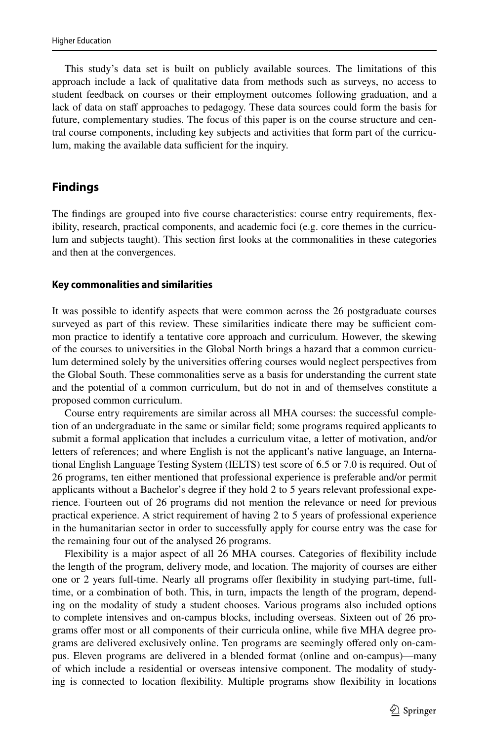This study's data set is built on publicly available sources. The limitations of this approach include a lack of qualitative data from methods such as surveys, no access to student feedback on courses or their employment outcomes following graduation, and a lack of data on staff approaches to pedagogy. These data sources could form the basis for future, complementary studies. The focus of this paper is on the course structure and central course components, including key subjects and activities that form part of the curriculum, making the available data sufficient for the inquiry.

### **Findings**

The fndings are grouped into fve course characteristics: course entry requirements, fexibility, research, practical components, and academic foci (e.g. core themes in the curriculum and subjects taught). This section frst looks at the commonalities in these categories and then at the convergences.

#### **Key commonalities and similarities**

It was possible to identify aspects that were common across the 26 postgraduate courses surveyed as part of this review. These similarities indicate there may be sufficient common practice to identify a tentative core approach and curriculum. However, the skewing of the courses to universities in the Global North brings a hazard that a common curriculum determined solely by the universities ofering courses would neglect perspectives from the Global South. These commonalities serve as a basis for understanding the current state and the potential of a common curriculum, but do not in and of themselves constitute a proposed common curriculum.

Course entry requirements are similar across all MHA courses: the successful completion of an undergraduate in the same or similar feld; some programs required applicants to submit a formal application that includes a curriculum vitae, a letter of motivation, and/or letters of references; and where English is not the applicant's native language, an International English Language Testing System (IELTS) test score of 6.5 or 7.0 is required. Out of 26 programs, ten either mentioned that professional experience is preferable and/or permit applicants without a Bachelor's degree if they hold 2 to 5 years relevant professional experience. Fourteen out of 26 programs did not mention the relevance or need for previous practical experience. A strict requirement of having 2 to 5 years of professional experience in the humanitarian sector in order to successfully apply for course entry was the case for the remaining four out of the analysed 26 programs.

Flexibility is a major aspect of all 26 MHA courses. Categories of fexibility include the length of the program, delivery mode, and location. The majority of courses are either one or 2 years full-time. Nearly all programs ofer fexibility in studying part-time, fulltime, or a combination of both. This, in turn, impacts the length of the program, depending on the modality of study a student chooses. Various programs also included options to complete intensives and on-campus blocks, including overseas. Sixteen out of 26 programs ofer most or all components of their curricula online, while fve MHA degree programs are delivered exclusively online. Ten programs are seemingly ofered only on-campus. Eleven programs are delivered in a blended format (online and on-campus)—many of which include a residential or overseas intensive component. The modality of studying is connected to location fexibility. Multiple programs show fexibility in locations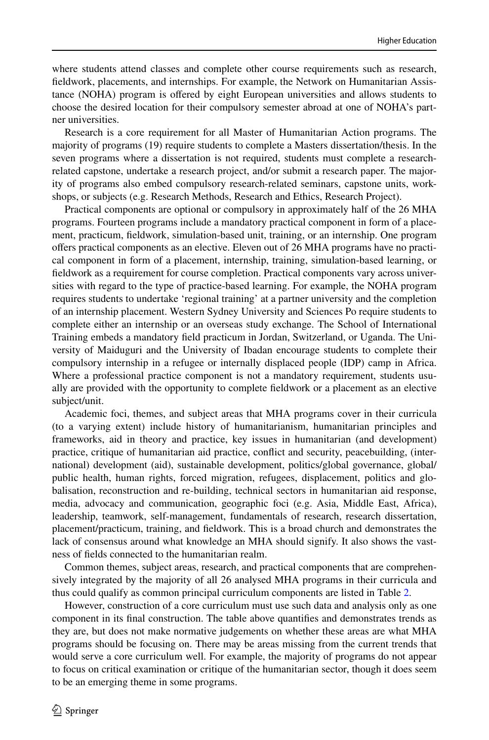where students attend classes and complete other course requirements such as research, feldwork, placements, and internships. For example, the Network on Humanitarian Assistance (NOHA) program is ofered by eight European universities and allows students to choose the desired location for their compulsory semester abroad at one of NOHA's partner universities.

Research is a core requirement for all Master of Humanitarian Action programs. The majority of programs (19) require students to complete a Masters dissertation/thesis. In the seven programs where a dissertation is not required, students must complete a researchrelated capstone, undertake a research project, and/or submit a research paper. The majority of programs also embed compulsory research-related seminars, capstone units, workshops, or subjects (e.g. Research Methods, Research and Ethics, Research Project).

Practical components are optional or compulsory in approximately half of the 26 MHA programs. Fourteen programs include a mandatory practical component in form of a placement, practicum, feldwork, simulation-based unit, training, or an internship. One program ofers practical components as an elective. Eleven out of 26 MHA programs have no practical component in form of a placement, internship, training, simulation-based learning, or feldwork as a requirement for course completion. Practical components vary across universities with regard to the type of practice-based learning. For example, the NOHA program requires students to undertake 'regional training' at a partner university and the completion of an internship placement. Western Sydney University and Sciences Po require students to complete either an internship or an overseas study exchange. The School of International Training embeds a mandatory feld practicum in Jordan, Switzerland, or Uganda. The University of Maiduguri and the University of Ibadan encourage students to complete their compulsory internship in a refugee or internally displaced people (IDP) camp in Africa. Where a professional practice component is not a mandatory requirement, students usually are provided with the opportunity to complete feldwork or a placement as an elective subject/unit.

Academic foci, themes, and subject areas that MHA programs cover in their curricula (to a varying extent) include history of humanitarianism, humanitarian principles and frameworks, aid in theory and practice, key issues in humanitarian (and development) practice, critique of humanitarian aid practice, confict and security, peacebuilding, (international) development (aid), sustainable development, politics/global governance, global/ public health, human rights, forced migration, refugees, displacement, politics and globalisation, reconstruction and re-building, technical sectors in humanitarian aid response, media, advocacy and communication, geographic foci (e.g. Asia, Middle East, Africa), leadership, teamwork, self-management, fundamentals of research, research dissertation, placement/practicum, training, and feldwork. This is a broad church and demonstrates the lack of consensus around what knowledge an MHA should signify. It also shows the vastness of felds connected to the humanitarian realm.

Common themes, subject areas, research, and practical components that are comprehensively integrated by the majority of all 26 analysed MHA programs in their curricula and thus could qualify as common principal curriculum components are listed in Table [2.](#page-10-0)

However, construction of a core curriculum must use such data and analysis only as one component in its fnal construction. The table above quantifes and demonstrates trends as they are, but does not make normative judgements on whether these areas are what MHA programs should be focusing on. There may be areas missing from the current trends that would serve a core curriculum well. For example, the majority of programs do not appear to focus on critical examination or critique of the humanitarian sector, though it does seem to be an emerging theme in some programs.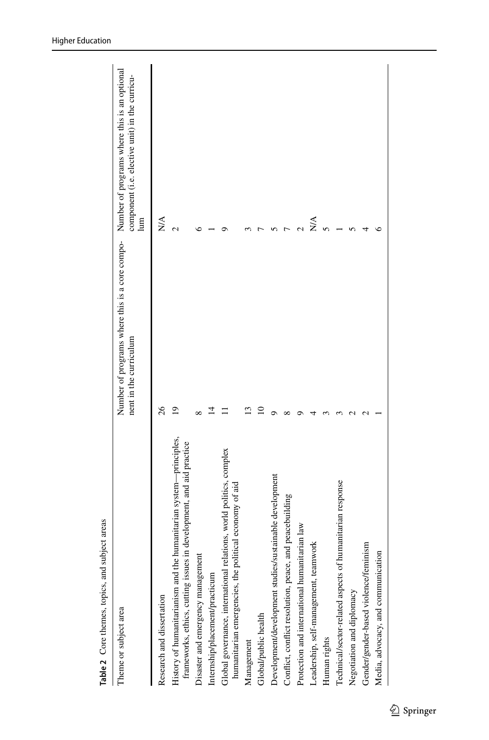| Theme or subject area                                                                                                                     | Number of programs where this is a core compo- Number of programs where this is an optional<br>nent in the curriculum | component (i.e. elective unit) in the curricu-<br>lum |
|-------------------------------------------------------------------------------------------------------------------------------------------|-----------------------------------------------------------------------------------------------------------------------|-------------------------------------------------------|
| Research and dissertation                                                                                                                 | 26                                                                                                                    | N/A                                                   |
| History of humanitarianism and the humanitarian system-principles,<br>frameworks, ethics, cutting issues in development, and aid practice | ഉ                                                                                                                     |                                                       |
| Disaster and emergency management                                                                                                         |                                                                                                                       |                                                       |
| Internship/placement/practicum                                                                                                            |                                                                                                                       |                                                       |
| Global governance, international relations, world politics, complex<br>humanitarian emergencies, the political economy of aid             |                                                                                                                       |                                                       |
| Management                                                                                                                                |                                                                                                                       |                                                       |
| Global/public health                                                                                                                      |                                                                                                                       |                                                       |
| Development/development studies/sustainable development                                                                                   |                                                                                                                       |                                                       |
| Conflict, conflict resolution, peace, and peacebuilding                                                                                   |                                                                                                                       |                                                       |
| Protection and international humanitarian law                                                                                             |                                                                                                                       |                                                       |
| Leadership, self-management, teamwork                                                                                                     |                                                                                                                       | ≫∖                                                    |
| Human rights                                                                                                                              |                                                                                                                       |                                                       |
| Technical/sector-related aspects of humanitarian response                                                                                 |                                                                                                                       |                                                       |
| Negotiation and diplomacy                                                                                                                 |                                                                                                                       |                                                       |
| Gender/gender-based violence/feminism                                                                                                     |                                                                                                                       |                                                       |
| Media, advocacy, and communication                                                                                                        |                                                                                                                       |                                                       |
|                                                                                                                                           |                                                                                                                       |                                                       |

<span id="page-10-0"></span>Table 2 Core themes, topics, and subject areas **Table 2** Core themes, topics, and subject areas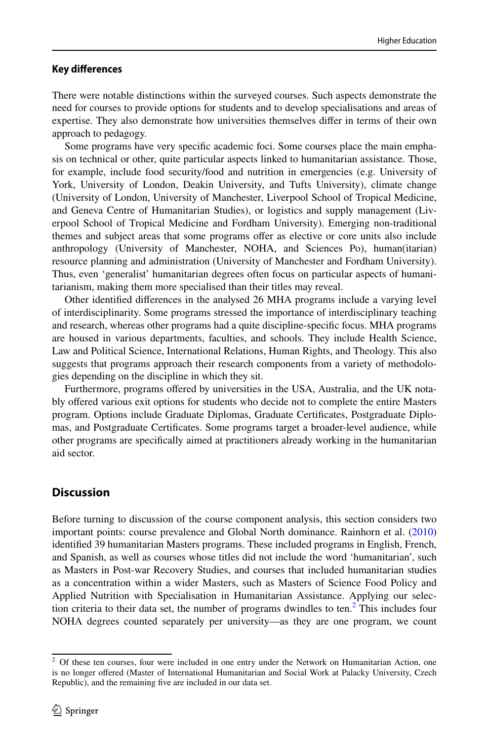#### **Key diferences**

There were notable distinctions within the surveyed courses. Such aspects demonstrate the need for courses to provide options for students and to develop specialisations and areas of expertise. They also demonstrate how universities themselves difer in terms of their own approach to pedagogy.

Some programs have very specifc academic foci. Some courses place the main emphasis on technical or other, quite particular aspects linked to humanitarian assistance. Those, for example, include food security/food and nutrition in emergencies (e.g. University of York, University of London, Deakin University, and Tufts University), climate change (University of London, University of Manchester, Liverpool School of Tropical Medicine, and Geneva Centre of Humanitarian Studies), or logistics and supply management (Liverpool School of Tropical Medicine and Fordham University). Emerging non-traditional themes and subject areas that some programs ofer as elective or core units also include anthropology (University of Manchester, NOHA, and Sciences Po), human(itarian) resource planning and administration (University of Manchester and Fordham University). Thus, even 'generalist' humanitarian degrees often focus on particular aspects of humanitarianism, making them more specialised than their titles may reveal.

Other identifed diferences in the analysed 26 MHA programs include a varying level of interdisciplinarity. Some programs stressed the importance of interdisciplinary teaching and research, whereas other programs had a quite discipline-specifc focus. MHA programs are housed in various departments, faculties, and schools. They include Health Science, Law and Political Science, International Relations, Human Rights, and Theology. This also suggests that programs approach their research components from a variety of methodologies depending on the discipline in which they sit.

Furthermore, programs offered by universities in the USA, Australia, and the UK notably ofered various exit options for students who decide not to complete the entire Masters program. Options include Graduate Diplomas, Graduate Certifcates, Postgraduate Diplomas, and Postgraduate Certifcates. Some programs target a broader-level audience, while other programs are specifcally aimed at practitioners already working in the humanitarian aid sector.

# **Discussion**

Before turning to discussion of the course component analysis, this section considers two important points: course prevalence and Global North dominance. Rainhorn et al. [\(2010](#page-18-10)) identifed 39 humanitarian Masters programs. These included programs in English, French, and Spanish, as well as courses whose titles did not include the word 'humanitarian', such as Masters in Post-war Recovery Studies, and courses that included humanitarian studies as a concentration within a wider Masters, such as Masters of Science Food Policy and Applied Nutrition with Specialisation in Humanitarian Assistance. Applying our selection criteria to their data set, the number of programs dwindles to ten. $<sup>2</sup>$  $<sup>2</sup>$  $<sup>2</sup>$  This includes four</sup> NOHA degrees counted separately per university—as they are one program, we count

<span id="page-11-0"></span><sup>&</sup>lt;sup>2</sup> Of these ten courses, four were included in one entry under the Network on Humanitarian Action, one is no longer ofered (Master of International Humanitarian and Social Work at Palacky University, Czech Republic), and the remaining fve are included in our data set.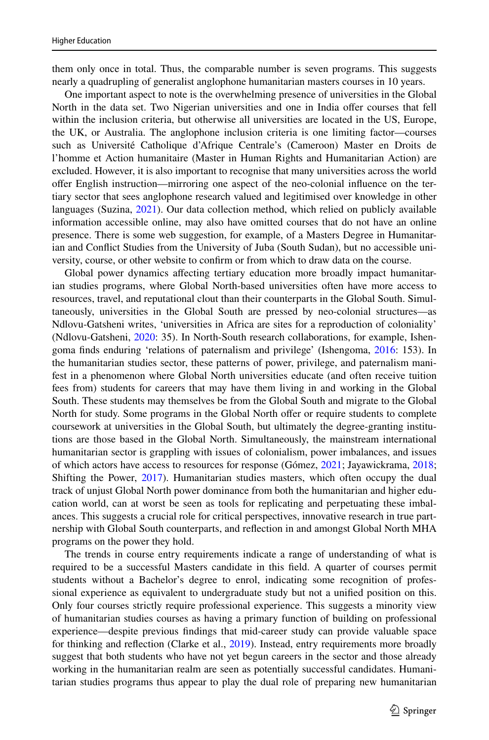them only once in total. Thus, the comparable number is seven programs. This suggests nearly a quadrupling of generalist anglophone humanitarian masters courses in 10 years.

One important aspect to note is the overwhelming presence of universities in the Global North in the data set. Two Nigerian universities and one in India ofer courses that fell within the inclusion criteria, but otherwise all universities are located in the US, Europe, the UK, or Australia. The anglophone inclusion criteria is one limiting factor—courses such as Université Catholique d'Afrique Centrale's (Cameroon) Master en Droits de l'homme et Action humanitaire (Master in Human Rights and Humanitarian Action) are excluded. However, it is also important to recognise that many universities across the world ofer English instruction—mirroring one aspect of the neo-colonial infuence on the tertiary sector that sees anglophone research valued and legitimised over knowledge in other languages (Suzina, [2021](#page-18-11)). Our data collection method, which relied on publicly available information accessible online, may also have omitted courses that do not have an online presence. There is some web suggestion, for example, of a Masters Degree in Humanitarian and Confict Studies from the University of Juba (South Sudan), but no accessible university, course, or other website to confrm or from which to draw data on the course.

Global power dynamics afecting tertiary education more broadly impact humanitarian studies programs, where Global North-based universities often have more access to resources, travel, and reputational clout than their counterparts in the Global South. Simultaneously, universities in the Global South are pressed by neo-colonial structures—as Ndlovu-Gatsheni writes, 'universities in Africa are sites for a reproduction of coloniality' (Ndlovu-Gatsheni, [2020](#page-18-12): 35). In North-South research collaborations, for example, Ishengoma fnds enduring 'relations of paternalism and privilege' (Ishengoma, [2016:](#page-18-13) 153). In the humanitarian studies sector, these patterns of power, privilege, and paternalism manifest in a phenomenon where Global North universities educate (and often receive tuition fees from) students for careers that may have them living in and working in the Global South. These students may themselves be from the Global South and migrate to the Global North for study. Some programs in the Global North offer or require students to complete coursework at universities in the Global South, but ultimately the degree-granting institutions are those based in the Global North. Simultaneously, the mainstream international humanitarian sector is grappling with issues of colonialism, power imbalances, and issues of which actors have access to resources for response (Gómez, [2021](#page-18-14); Jayawickrama, [2018;](#page-18-15) Shifting the Power, [2017](#page-18-16)). Humanitarian studies masters, which often occupy the dual track of unjust Global North power dominance from both the humanitarian and higher education world, can at worst be seen as tools for replicating and perpetuating these imbalances. This suggests a crucial role for critical perspectives, innovative research in true partnership with Global South counterparts, and refection in and amongst Global North MHA programs on the power they hold.

The trends in course entry requirements indicate a range of understanding of what is required to be a successful Masters candidate in this feld. A quarter of courses permit students without a Bachelor's degree to enrol, indicating some recognition of professional experience as equivalent to undergraduate study but not a unifed position on this. Only four courses strictly require professional experience. This suggests a minority view of humanitarian studies courses as having a primary function of building on professional experience—despite previous fndings that mid-career study can provide valuable space for thinking and refection (Clarke et al., [2019](#page-17-12)). Instead, entry requirements more broadly suggest that both students who have not yet begun careers in the sector and those already working in the humanitarian realm are seen as potentially successful candidates. Humanitarian studies programs thus appear to play the dual role of preparing new humanitarian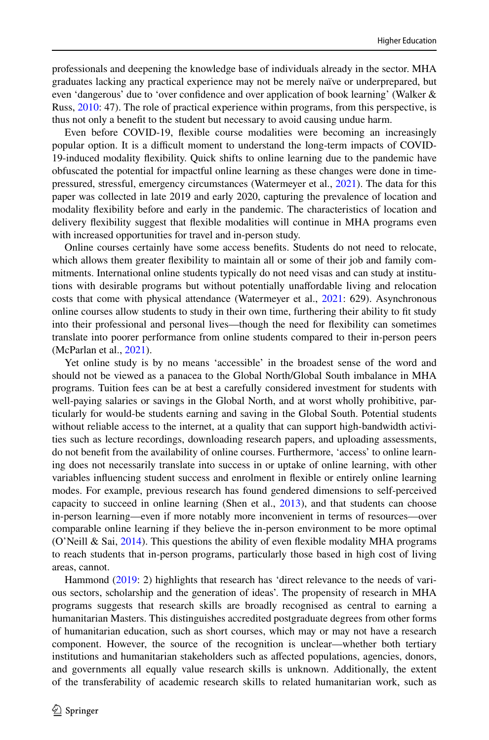professionals and deepening the knowledge base of individuals already in the sector. MHA graduates lacking any practical experience may not be merely naïve or underprepared, but even 'dangerous' due to 'over confdence and over application of book learning' (Walker & Russ, [2010:](#page-19-2) 47). The role of practical experience within programs, from this perspective, is thus not only a beneft to the student but necessary to avoid causing undue harm.

Even before COVID-19, fexible course modalities were becoming an increasingly popular option. It is a difcult moment to understand the long-term impacts of COVID-19-induced modality fexibility. Quick shifts to online learning due to the pandemic have obfuscated the potential for impactful online learning as these changes were done in timepressured, stressful, emergency circumstances (Watermeyer et al., [2021\)](#page-19-3). The data for this paper was collected in late 2019 and early 2020, capturing the prevalence of location and modality fexibility before and early in the pandemic. The characteristics of location and delivery fexibility suggest that fexible modalities will continue in MHA programs even with increased opportunities for travel and in-person study.

Online courses certainly have some access benefts. Students do not need to relocate, which allows them greater fexibility to maintain all or some of their job and family commitments. International online students typically do not need visas and can study at institutions with desirable programs but without potentially unafordable living and relocation costs that come with physical attendance (Watermeyer et al., [2021](#page-19-3): 629). Asynchronous online courses allow students to study in their own time, furthering their ability to ft study into their professional and personal lives—though the need for fexibility can sometimes translate into poorer performance from online students compared to their in-person peers (McParlan et al., [2021](#page-18-17)).

Yet online study is by no means 'accessible' in the broadest sense of the word and should not be viewed as a panacea to the Global North/Global South imbalance in MHA programs. Tuition fees can be at best a carefully considered investment for students with well-paying salaries or savings in the Global North, and at worst wholly prohibitive, particularly for would-be students earning and saving in the Global South. Potential students without reliable access to the internet, at a quality that can support high-bandwidth activities such as lecture recordings, downloading research papers, and uploading assessments, do not beneft from the availability of online courses. Furthermore, 'access' to online learning does not necessarily translate into success in or uptake of online learning, with other variables infuencing student success and enrolment in fexible or entirely online learning modes. For example, previous research has found gendered dimensions to self-perceived capacity to succeed in online learning (Shen et al., [2013](#page-18-18)), and that students can choose in-person learning—even if more notably more inconvenient in terms of resources—over comparable online learning if they believe the in-person environment to be more optimal (O'Neill & Sai,  $2014$ ). This questions the ability of even flexible modality MHA programs to reach students that in-person programs, particularly those based in high cost of living areas, cannot.

Hammond [\(2019](#page-18-20): 2) highlights that research has 'direct relevance to the needs of various sectors, scholarship and the generation of ideas'. The propensity of research in MHA programs suggests that research skills are broadly recognised as central to earning a humanitarian Masters. This distinguishes accredited postgraduate degrees from other forms of humanitarian education, such as short courses, which may or may not have a research component. However, the source of the recognition is unclear—whether both tertiary institutions and humanitarian stakeholders such as afected populations, agencies, donors, and governments all equally value research skills is unknown. Additionally, the extent of the transferability of academic research skills to related humanitarian work, such as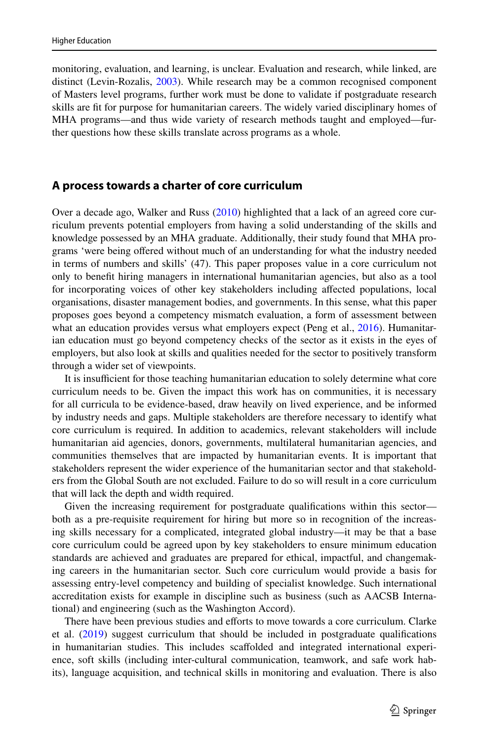monitoring, evaluation, and learning, is unclear. Evaluation and research, while linked, are distinct (Levin-Rozalis, [2003](#page-18-21)). While research may be a common recognised component of Masters level programs, further work must be done to validate if postgraduate research skills are ft for purpose for humanitarian careers. The widely varied disciplinary homes of MHA programs—and thus wide variety of research methods taught and employed—further questions how these skills translate across programs as a whole.

# **A process towards a charter of core curriculum**

Over a decade ago, Walker and Russ [\(2010](#page-19-2)) highlighted that a lack of an agreed core curriculum prevents potential employers from having a solid understanding of the skills and knowledge possessed by an MHA graduate. Additionally, their study found that MHA programs 'were being ofered without much of an understanding for what the industry needed in terms of numbers and skills' (47). This paper proposes value in a core curriculum not only to beneft hiring managers in international humanitarian agencies, but also as a tool for incorporating voices of other key stakeholders including afected populations, local organisations, disaster management bodies, and governments. In this sense, what this paper proposes goes beyond a competency mismatch evaluation, a form of assessment between what an education provides versus what employers expect (Peng et al., [2016\)](#page-18-22). Humanitarian education must go beyond competency checks of the sector as it exists in the eyes of employers, but also look at skills and qualities needed for the sector to positively transform through a wider set of viewpoints.

It is insufficient for those teaching humanitarian education to solely determine what core curriculum needs to be. Given the impact this work has on communities, it is necessary for all curricula to be evidence-based, draw heavily on lived experience, and be informed by industry needs and gaps. Multiple stakeholders are therefore necessary to identify what core curriculum is required. In addition to academics, relevant stakeholders will include humanitarian aid agencies, donors, governments, multilateral humanitarian agencies, and communities themselves that are impacted by humanitarian events. It is important that stakeholders represent the wider experience of the humanitarian sector and that stakeholders from the Global South are not excluded. Failure to do so will result in a core curriculum that will lack the depth and width required.

Given the increasing requirement for postgraduate qualifcations within this sector both as a pre-requisite requirement for hiring but more so in recognition of the increasing skills necessary for a complicated, integrated global industry—it may be that a base core curriculum could be agreed upon by key stakeholders to ensure minimum education standards are achieved and graduates are prepared for ethical, impactful, and changemaking careers in the humanitarian sector. Such core curriculum would provide a basis for assessing entry-level competency and building of specialist knowledge. Such international accreditation exists for example in discipline such as business (such as AACSB International) and engineering (such as the Washington Accord).

There have been previous studies and eforts to move towards a core curriculum. Clarke et al. [\(2019](#page-17-12)) suggest curriculum that should be included in postgraduate qualifcations in humanitarian studies. This includes scafolded and integrated international experience, soft skills (including inter-cultural communication, teamwork, and safe work habits), language acquisition, and technical skills in monitoring and evaluation. There is also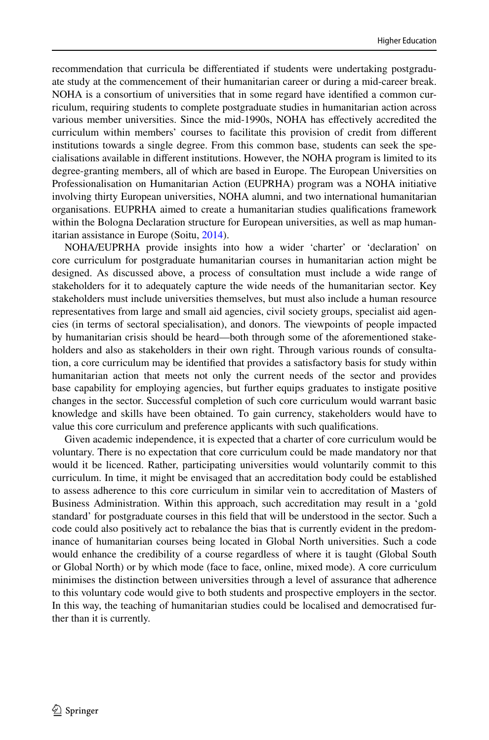recommendation that curricula be diferentiated if students were undertaking postgraduate study at the commencement of their humanitarian career or during a mid-career break. NOHA is a consortium of universities that in some regard have identifed a common curriculum, requiring students to complete postgraduate studies in humanitarian action across various member universities. Since the mid-1990s, NOHA has efectively accredited the curriculum within members' courses to facilitate this provision of credit from diferent institutions towards a single degree. From this common base, students can seek the specialisations available in diferent institutions. However, the NOHA program is limited to its degree-granting members, all of which are based in Europe. The European Universities on Professionalisation on Humanitarian Action (EUPRHA) program was a NOHA initiative involving thirty European universities, NOHA alumni, and two international humanitarian organisations. EUPRHA aimed to create a humanitarian studies qualifcations framework within the Bologna Declaration structure for European universities, as well as map humanitarian assistance in Europe (Soitu, [2014\)](#page-18-23).

NOHA/EUPRHA provide insights into how a wider 'charter' or 'declaration' on core curriculum for postgraduate humanitarian courses in humanitarian action might be designed. As discussed above, a process of consultation must include a wide range of stakeholders for it to adequately capture the wide needs of the humanitarian sector. Key stakeholders must include universities themselves, but must also include a human resource representatives from large and small aid agencies, civil society groups, specialist aid agencies (in terms of sectoral specialisation), and donors. The viewpoints of people impacted by humanitarian crisis should be heard—both through some of the aforementioned stakeholders and also as stakeholders in their own right. Through various rounds of consultation, a core curriculum may be identifed that provides a satisfactory basis for study within humanitarian action that meets not only the current needs of the sector and provides base capability for employing agencies, but further equips graduates to instigate positive changes in the sector. Successful completion of such core curriculum would warrant basic knowledge and skills have been obtained. To gain currency, stakeholders would have to value this core curriculum and preference applicants with such qualifcations.

Given academic independence, it is expected that a charter of core curriculum would be voluntary. There is no expectation that core curriculum could be made mandatory nor that would it be licenced. Rather, participating universities would voluntarily commit to this curriculum. In time, it might be envisaged that an accreditation body could be established to assess adherence to this core curriculum in similar vein to accreditation of Masters of Business Administration. Within this approach, such accreditation may result in a 'gold standard' for postgraduate courses in this feld that will be understood in the sector. Such a code could also positively act to rebalance the bias that is currently evident in the predominance of humanitarian courses being located in Global North universities. Such a code would enhance the credibility of a course regardless of where it is taught (Global South or Global North) or by which mode (face to face, online, mixed mode). A core curriculum minimises the distinction between universities through a level of assurance that adherence to this voluntary code would give to both students and prospective employers in the sector. In this way, the teaching of humanitarian studies could be localised and democratised further than it is currently.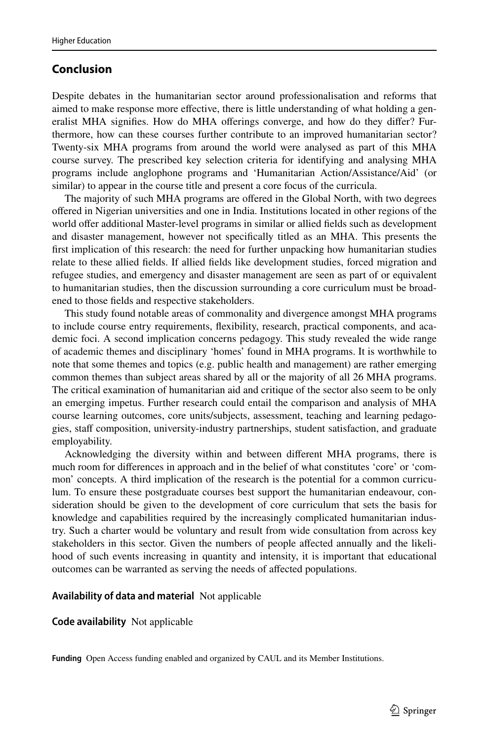# **Conclusion**

Despite debates in the humanitarian sector around professionalisation and reforms that aimed to make response more efective, there is little understanding of what holding a generalist MHA signifes. How do MHA oferings converge, and how do they difer? Furthermore, how can these courses further contribute to an improved humanitarian sector? Twenty-six MHA programs from around the world were analysed as part of this MHA course survey. The prescribed key selection criteria for identifying and analysing MHA programs include anglophone programs and 'Humanitarian Action/Assistance/Aid' (or similar) to appear in the course title and present a core focus of the curricula.

The majority of such MHA programs are ofered in the Global North, with two degrees ofered in Nigerian universities and one in India. Institutions located in other regions of the world offer additional Master-level programs in similar or allied fields such as development and disaster management, however not specifcally titled as an MHA. This presents the frst implication of this research: the need for further unpacking how humanitarian studies relate to these allied felds. If allied felds like development studies, forced migration and refugee studies, and emergency and disaster management are seen as part of or equivalent to humanitarian studies, then the discussion surrounding a core curriculum must be broadened to those felds and respective stakeholders.

This study found notable areas of commonality and divergence amongst MHA programs to include course entry requirements, fexibility, research, practical components, and academic foci. A second implication concerns pedagogy. This study revealed the wide range of academic themes and disciplinary 'homes' found in MHA programs. It is worthwhile to note that some themes and topics (e.g. public health and management) are rather emerging common themes than subject areas shared by all or the majority of all 26 MHA programs. The critical examination of humanitarian aid and critique of the sector also seem to be only an emerging impetus. Further research could entail the comparison and analysis of MHA course learning outcomes, core units/subjects, assessment, teaching and learning pedagogies, staff composition, university-industry partnerships, student satisfaction, and graduate employability.

Acknowledging the diversity within and between diferent MHA programs, there is much room for diferences in approach and in the belief of what constitutes 'core' or 'common' concepts. A third implication of the research is the potential for a common curriculum. To ensure these postgraduate courses best support the humanitarian endeavour, consideration should be given to the development of core curriculum that sets the basis for knowledge and capabilities required by the increasingly complicated humanitarian industry. Such a charter would be voluntary and result from wide consultation from across key stakeholders in this sector. Given the numbers of people afected annually and the likelihood of such events increasing in quantity and intensity, it is important that educational outcomes can be warranted as serving the needs of afected populations.

#### **Availability of data and material** Not applicable

**Code availability** Not applicable

**Funding** Open Access funding enabled and organized by CAUL and its Member Institutions.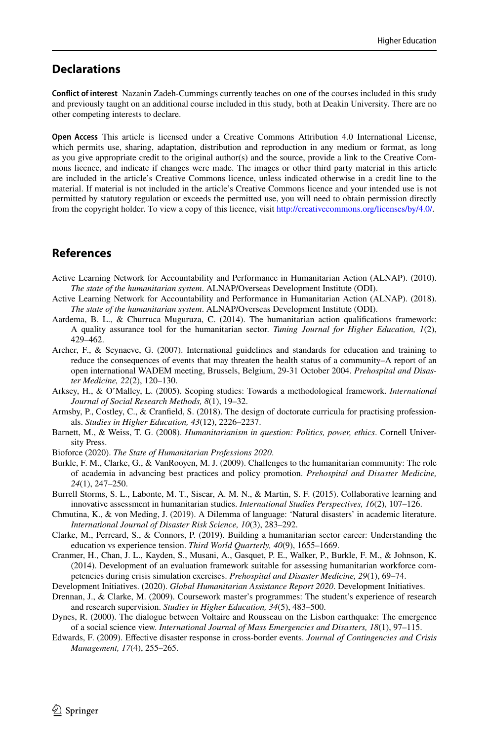# **Declarations**

**Confict of interest** Nazanin Zadeh-Cummings currently teaches on one of the courses included in this study and previously taught on an additional course included in this study, both at Deakin University. There are no other competing interests to declare.

**Open Access** This article is licensed under a Creative Commons Attribution 4.0 International License, which permits use, sharing, adaptation, distribution and reproduction in any medium or format, as long as you give appropriate credit to the original author(s) and the source, provide a link to the Creative Commons licence, and indicate if changes were made. The images or other third party material in this article are included in the article's Creative Commons licence, unless indicated otherwise in a credit line to the material. If material is not included in the article's Creative Commons licence and your intended use is not permitted by statutory regulation or exceeds the permitted use, you will need to obtain permission directly from the copyright holder. To view a copy of this licence, visit [http://creativecommons.org/licenses/by/4.0/.](http://creativecommons.org/licenses/by/4.0/)

# **References**

- <span id="page-17-8"></span>Active Learning Network for Accountability and Performance in Humanitarian Action (ALNAP). (2010). *The state of the humanitarian system*. ALNAP/Overseas Development Institute (ODI).
- <span id="page-17-9"></span>Active Learning Network for Accountability and Performance in Humanitarian Action (ALNAP). (2018). *The state of the humanitarian system*. ALNAP/Overseas Development Institute (ODI).
- <span id="page-17-1"></span>Aardema, B. L., & Churruca Muguruza, C. (2014). The humanitarian action qualifcations framework: A quality assurance tool for the humanitarian sector. *Tuning Journal for Higher Education, 1*(2), 429–462.
- <span id="page-17-3"></span>Archer, F., & Seynaeve, G. (2007). International guidelines and standards for education and training to reduce the consequences of events that may threaten the health status of a community–A report of an open international WADEM meeting, Brussels, Belgium, 29-31 October 2004. *Prehospital and Disaster Medicine, 22*(2), 120–130.
- <span id="page-17-16"></span>Arksey, H., & O'Malley, L. (2005). Scoping studies: Towards a methodological framework. *International Journal of Social Research Methods, 8*(1), 19–32.
- <span id="page-17-15"></span>Armsby, P., Costley, C., & Cranfeld, S. (2018). The design of doctorate curricula for practising professionals. *Studies in Higher Education, 43*(12), 2226–2237.
- <span id="page-17-4"></span>Barnett, M., & Weiss, T. G. (2008). *Humanitarianism in question: Politics, power, ethics*. Cornell University Press.
- <span id="page-17-13"></span>Bioforce (2020). *The State of Humanitarian Professions 2020*.
- <span id="page-17-5"></span>Burkle, F. M., Clarke, G., & VanRooyen, M. J. (2009). Challenges to the humanitarian community: The role of academia in advancing best practices and policy promotion. *Prehospital and Disaster Medicine, 24*(1), 247–250.
- <span id="page-17-6"></span>Burrell Storms, S. L., Labonte, M. T., Siscar, A. M. N., & Martin, S. F. (2015). Collaborative learning and innovative assessment in humanitarian studies. *International Studies Perspectives, 16*(2), 107–126.
- <span id="page-17-11"></span>Chmutina, K., & von Meding, J. (2019). A Dilemma of language: 'Natural disasters' in academic literature. *International Journal of Disaster Risk Science, 10*(3), 283–292.
- <span id="page-17-12"></span>Clarke, M., Perreard, S., & Connors, P. (2019). Building a humanitarian sector career: Understanding the education vs experience tension. *Third World Quarterly, 40*(9), 1655–1669.
- <span id="page-17-2"></span>Cranmer, H., Chan, J. L., Kayden, S., Musani, A., Gasquet, P. E., Walker, P., Burkle, F. M., & Johnson, K. (2014). Development of an evaluation framework suitable for assessing humanitarian workforce competencies during crisis simulation exercises. *Prehospital and Disaster Medicine, 29*(1), 69–74.
- <span id="page-17-0"></span>Development Initiatives. (2020). *Global Humanitarian Assistance Report 2020*. Development Initiatives.
- <span id="page-17-14"></span>Drennan, J., & Clarke, M. (2009). Coursework master's programmes: The student's experience of research and research supervision. *Studies in Higher Education, 34*(5), 483–500.
- <span id="page-17-10"></span>Dynes, R. (2000). The dialogue between Voltaire and Rousseau on the Lisbon earthquake: The emergence of a social science view. *International Journal of Mass Emergencies and Disasters, 18*(1), 97–115.
- <span id="page-17-7"></span>Edwards, F. (2009). Efective disaster response in cross-border events. *Journal of Contingencies and Crisis Management, 17*(4), 255–265.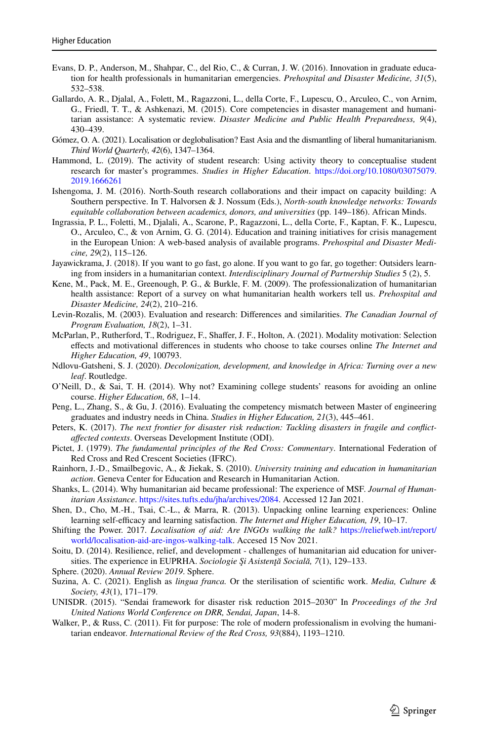- <span id="page-18-2"></span>Evans, D. P., Anderson, M., Shahpar, C., del Rio, C., & Curran, J. W. (2016). Innovation in graduate education for health professionals in humanitarian emergencies. *Prehospital and Disaster Medicine, 31*(5), 532–538.
- <span id="page-18-3"></span>Gallardo, A. R., Djalal, A., Folett, M., Ragazzoni, L., della Corte, F., Lupescu, O., Arculeo, C., von Arnim, G., Friedl, T. T., & Ashkenazi, M. (2015). Core competencies in disaster management and humanitarian assistance: A systematic review. *Disaster Medicine and Public Health Preparedness, 9*(4), 430–439.
- <span id="page-18-14"></span>Gómez, O. A. (2021). Localisation or deglobalisation? East Asia and the dismantling of liberal humanitarianism. *Third World Quarterly, 42*(6), 1347–1364.
- <span id="page-18-20"></span>Hammond, L. (2019). The activity of student research: Using activity theory to conceptualise student research for master's programmes. *Studies in Higher Education*. [https://doi.org/10.1080/03075079.](https://doi.org/10.1080/03075079.2019.1666261) [2019.1666261](https://doi.org/10.1080/03075079.2019.1666261)
- <span id="page-18-13"></span>Ishengoma, J. M. (2016). North-South research collaborations and their impact on capacity building: A Southern perspective. In T. Halvorsen & J. Nossum (Eds.), *North-south knowledge networks: Towards equitable collaboration between academics, donors, and universities* (pp. 149–186). African Minds.
- <span id="page-18-4"></span>Ingrassia, P. L., Foletti, M., Djalali, A., Scarone, P., Ragazzoni, L., della Corte, F., Kaptan, F. K., Lupescu, O., Arculeo, C., & von Arnim, G. G. (2014). Education and training initiatives for crisis management in the European Union: A web-based analysis of available programs. *Prehospital and Disaster Medicine, 29*(2), 115–126.
- <span id="page-18-15"></span>Jayawickrama, J. (2018). If you want to go fast, go alone. If you want to go far, go together: Outsiders learning from insiders in a humanitarian context. *Interdisciplinary Journal of Partnership Studies* 5 (2), 5.
- <span id="page-18-9"></span>Kene, M., Pack, M. E., Greenough, P. G., & Burkle, F. M. (2009). The professionalization of humanitarian health assistance: Report of a survey on what humanitarian health workers tell us. *Prehospital and Disaster Medicine, 24*(2), 210–216.
- <span id="page-18-21"></span>Levin-Rozalis, M. (2003). Evaluation and research: Diferences and similarities. *The Canadian Journal of Program Evaluation, 18*(2), 1–31.
- <span id="page-18-17"></span>McParlan, P., Rutherford, T., Rodriguez, F., Shafer, J. F., Holton, A. (2021). Modality motivation: Selection efects and motivational diferences in students who choose to take courses online *The Internet and Higher Education, 49*, 100793.
- <span id="page-18-12"></span>Ndlovu-Gatsheni, S. J. (2020). *Decolonization, development, and knowledge in Africa: Turning over a new leaf*. Routledge.
- <span id="page-18-19"></span>O'Neill, D., & Sai, T. H. (2014). Why not? Examining college students' reasons for avoiding an online course. *Higher Education, 68*, 1–14.
- <span id="page-18-22"></span>Peng, L., Zhang, S., & Gu, J. (2016). Evaluating the competency mismatch between Master of engineering graduates and industry needs in China. *Studies in Higher Education, 21*(3), 445–461.
- <span id="page-18-1"></span>Peters, K. (2017). *The next frontier for disaster risk reduction: Tackling disasters in fragile and confictafected contexts*. Overseas Development Institute (ODI).
- <span id="page-18-6"></span>Pictet, J. (1979). *The fundamental principles of the Red Cross: Commentary*. International Federation of Red Cross and Red Crescent Societies (IFRC).
- <span id="page-18-10"></span>Rainhorn, J.-D., Smailbegovic, A., & Jiekak, S. (2010). *University training and education in humanitarian action*. Geneva Center for Education and Research in Humanitarian Action.
- <span id="page-18-7"></span>Shanks, L. (2014). Why humanitarian aid became professional: The experience of MSF. *Journal of Humanitarian Assistance*.<https://sites.tufts.edu/jha/archives/2084>. Accessed 12 Jan 2021.
- <span id="page-18-18"></span>Shen, D., Cho, M.-H., Tsai, C.-L., & Marra, R. (2013). Unpacking online learning experiences: Online learning self-efficacy and learning satisfaction. *The Internet and Higher Education*, 19, 10–17.
- <span id="page-18-16"></span>Shifting the Power. 2017. *Localisation of aid: Are INGOs walking the talk?* [https://reliefweb.int/report/](https://reliefweb.int/report/world/localisation-aid-are-ingos-walking-talk) [world/localisation-aid-are-ingos-walking-talk](https://reliefweb.int/report/world/localisation-aid-are-ingos-walking-talk). Accesed 15 Nov 2021.
- <span id="page-18-23"></span>Soitu, D. (2014). Resilience, relief, and development - challenges of humanitarian aid education for universities. The experience in EUPRHA. *Sociologie Şi Asistenţă Socială, 7*(1), 129–133.
- <span id="page-18-5"></span>Sphere. (2020). *Annual Review 2019*. Sphere.
- <span id="page-18-11"></span>Suzina, A. C. (2021). English as *lingua franca.* Or the sterilisation of scientifc work. *Media, Culture & Society, 43*(1), 171–179.
- <span id="page-18-0"></span>UNISDR. (2015). "Sendai framework for disaster risk reduction 2015–2030" In *Proceedings of the 3rd United Nations World Conference on DRR, Sendai, Japan*, 14-8.
- <span id="page-18-8"></span>Walker, P., & Russ, C. (2011). Fit for purpose: The role of modern professionalism in evolving the humanitarian endeavor. *International Review of the Red Cross, 93*(884), 1193–1210.